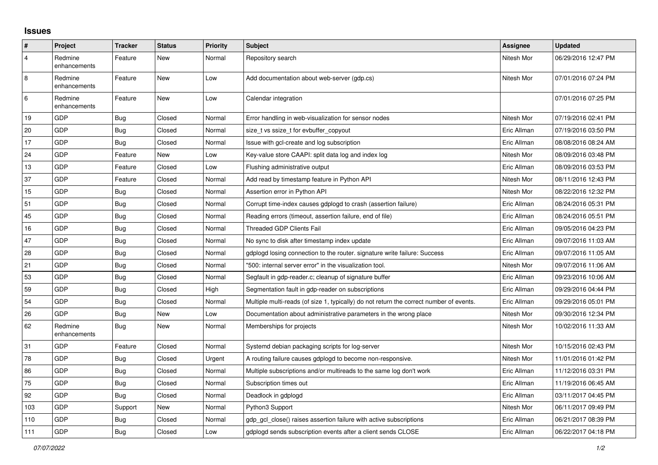## **Issues**

| ∦              | Project                 | <b>Tracker</b> | <b>Status</b> | <b>Priority</b> | <b>Subject</b>                                                                          | Assignee    | <b>Updated</b>      |
|----------------|-------------------------|----------------|---------------|-----------------|-----------------------------------------------------------------------------------------|-------------|---------------------|
| $\overline{4}$ | Redmine<br>enhancements | Feature        | New           | Normal          | Repository search                                                                       | Nitesh Mor  | 06/29/2016 12:47 PM |
| 8              | Redmine<br>enhancements | Feature        | New           | Low             | Add documentation about web-server (gdp.cs)                                             | Nitesh Mor  | 07/01/2016 07:24 PM |
| 6              | Redmine<br>enhancements | Feature        | New           | Low             | Calendar integration                                                                    |             | 07/01/2016 07:25 PM |
| 19             | GDP                     | <b>Bug</b>     | Closed        | Normal          | Error handling in web-visualization for sensor nodes                                    | Nitesh Mor  | 07/19/2016 02:41 PM |
| 20             | GDP                     | <b>Bug</b>     | Closed        | Normal          | size_t vs ssize_t for evbuffer_copyout                                                  | Eric Allman | 07/19/2016 03:50 PM |
| 17             | GDP                     | <b>Bug</b>     | Closed        | Normal          | Issue with gcl-create and log subscription                                              | Eric Allman | 08/08/2016 08:24 AM |
| 24             | GDP                     | Feature        | New           | Low             | Key-value store CAAPI: split data log and index log                                     | Nitesh Mor  | 08/09/2016 03:48 PM |
| 13             | GDP                     | Feature        | Closed        | Low             | Flushing administrative output                                                          | Eric Allman | 08/09/2016 03:53 PM |
| 37             | GDP                     | Feature        | Closed        | Normal          | Add read by timestamp feature in Python API                                             | Nitesh Mor  | 08/11/2016 12:43 PM |
| 15             | GDP                     | Bug            | Closed        | Normal          | Assertion error in Python API                                                           | Nitesh Mor  | 08/22/2016 12:32 PM |
| 51             | GDP                     | <b>Bug</b>     | Closed        | Normal          | Corrupt time-index causes gdplogd to crash (assertion failure)                          | Eric Allman | 08/24/2016 05:31 PM |
| 45             | GDP                     | Bug            | Closed        | Normal          | Reading errors (timeout, assertion failure, end of file)                                | Eric Allman | 08/24/2016 05:51 PM |
| 16             | GDP                     | <b>Bug</b>     | Closed        | Normal          | <b>Threaded GDP Clients Fail</b>                                                        | Eric Allman | 09/05/2016 04:23 PM |
| 47             | GDP                     | <b>Bug</b>     | Closed        | Normal          | No sync to disk after timestamp index update                                            | Eric Allman | 09/07/2016 11:03 AM |
| 28             | GDP                     | <b>Bug</b>     | Closed        | Normal          | gdplogd losing connection to the router. signature write failure: Success               | Eric Allman | 09/07/2016 11:05 AM |
| 21             | GDP                     | <b>Bug</b>     | Closed        | Normal          | "500: internal server error" in the visualization tool.                                 | Nitesh Mor  | 09/07/2016 11:06 AM |
| 53             | GDP                     | <b>Bug</b>     | Closed        | Normal          | Segfault in gdp-reader.c; cleanup of signature buffer                                   | Eric Allman | 09/23/2016 10:06 AM |
| 59             | GDP                     | <b>Bug</b>     | Closed        | High            | Segmentation fault in gdp-reader on subscriptions                                       | Eric Allman | 09/29/2016 04:44 PM |
| 54             | GDP                     | <b>Bug</b>     | Closed        | Normal          | Multiple multi-reads (of size 1, typically) do not return the correct number of events. | Eric Allman | 09/29/2016 05:01 PM |
| 26             | GDP                     | Bug            | New           | Low             | Documentation about administrative parameters in the wrong place                        | Nitesh Mor  | 09/30/2016 12:34 PM |
| 62             | Redmine<br>enhancements | <b>Bug</b>     | New           | Normal          | Memberships for projects                                                                | Nitesh Mor  | 10/02/2016 11:33 AM |
| 31             | GDP                     | Feature        | Closed        | Normal          | Systemd debian packaging scripts for log-server                                         | Nitesh Mor  | 10/15/2016 02:43 PM |
| 78             | GDP                     | <b>Bug</b>     | Closed        | Urgent          | A routing failure causes gdplogd to become non-responsive.                              | Nitesh Mor  | 11/01/2016 01:42 PM |
| 86             | GDP                     | <b>Bug</b>     | Closed        | Normal          | Multiple subscriptions and/or multireads to the same log don't work                     | Eric Allman | 11/12/2016 03:31 PM |
| 75             | GDP                     | <b>Bug</b>     | Closed        | Normal          | Subscription times out                                                                  | Eric Allman | 11/19/2016 06:45 AM |
| 92             | GDP                     | Bug            | Closed        | Normal          | Deadlock in gdplogd                                                                     | Eric Allman | 03/11/2017 04:45 PM |
| 103            | GDP                     | Support        | New           | Normal          | Python3 Support                                                                         | Nitesh Mor  | 06/11/2017 09:49 PM |
| 110            | GDP                     | <b>Bug</b>     | Closed        | Normal          | gdp gcl close() raises assertion failure with active subscriptions                      | Eric Allman | 06/21/2017 08:39 PM |
| 111            | GDP                     | <b>Bug</b>     | Closed        | Low             | adpload sends subscription events after a client sends CLOSE                            | Eric Allman | 06/22/2017 04:18 PM |